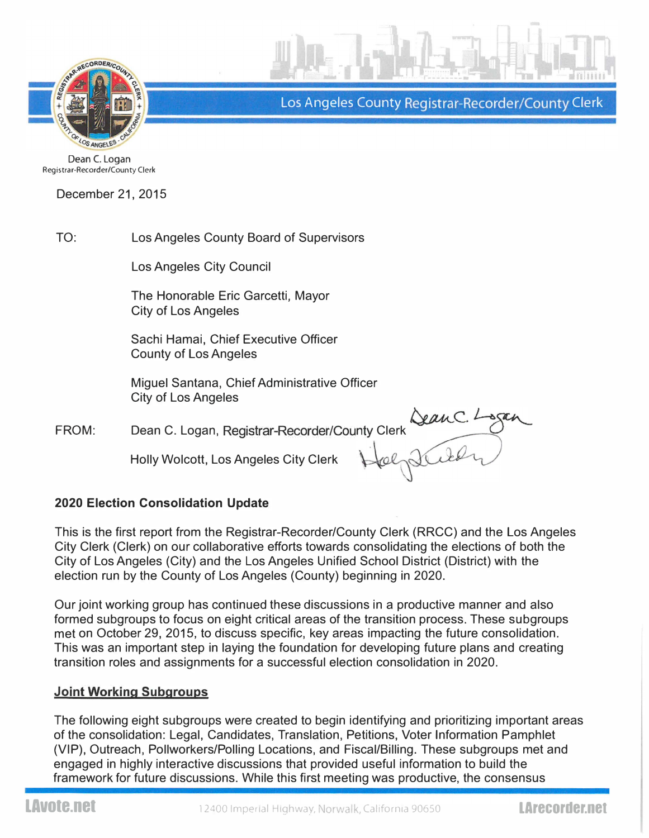

Los Angeles County Registrar-Recorder/County Clerk

Dean C. Logan Registrar-Recorder/County Clerk

December 21, 2015

TO: Los Angeles County Board of Supervisors

Los Angeles City Council

The Honorable Eric Garcetti, Mayor City of Los Angeles

Sachi Hamai, Chief Executive Officer County of Los Angeles

Miguel Santana, Chief Administrative Officer City of Los Angeles

Registrar-Recorder/County FROM: Dean C. Logan, Registrar-Recorder/County Clerk Company of the Country Clerk Country Clerk Country Clerk Country Clerk Country Clerk Country Clerk Country Clerk Country Clerk Country Clerk Country Clerk Country Clerk

Holly Wolcott, Los Angeles City Clerk

DeanC. Logan Steeling

# 2020 Election Consolidation Update

This is the first report from the Registrar-Recorder/County Clerk (RRCC) and the Los Angeles City Clerk (Clerk) on our collaborative efforts towards consolidating the elections of both the City of Los Angeles (City) and the Los Angeles Unified School District (District) with the election run by the County of Los Angeles (County) beginning in 2020.

Our joint working group has continued these discussions in a productive manner and also formed subgroups to focus on eight critical areas of the transition process. These subgroups met on October 29, 2015, to discuss specific, key areas impacting the future consolidation. This was an important step in laying the foundation for developing future plans and creating transition roles and assignments for a successful election consolidation in 2020.

# Joint Working Subgroups

The following eight subgroups were created to begin identifying and prioritizing important areas of the consolidation: Legal, Candidates, Translation, Petitions, Voter Information Pamphlet (VIP), Outreach, Pollworkers/Polling Locations, and Fiscal/Billing. These subgroups met and engaged in highly interactive discussions that provided useful information to build the framework for future discussions. While this first meeting was productive, the consensus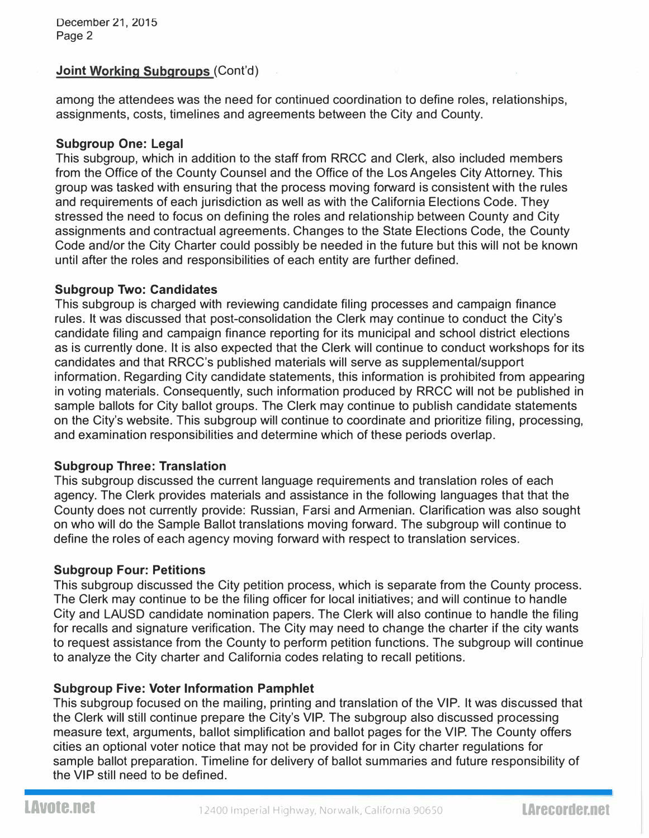## <u>Joint Working Subgroups (</u>Cont'd)

among the attendees was the need for continued coordination to define roles, relationships, assignments, costs, timelines and agreements between the City and County.

#### Subgroup One: Legal

This subgroup, which in addition to the staff from RRCC and Clerk, also included members from the Office of the County Counsel and the Office of the Los Angeles City Attorney. This group was tasked with ensuring that the process moving forward is consistent with the rules and requirements of each jurisdiction as well as with the California Elections Code. They stressed the need to focus on defining the roles and relationship between County and City assignments and contractual agreements. Changes to the State Elections Code, the County Code and/or the City Charter could possibly be needed in the future but this will not be known until after the roles and responsibilities of each entity are further defined.

#### Subgroup Two: Candidates

This subgroup is charged with reviewing candidate filing processes and campaign finance rules. It was discussed that post-consolidation the Clerk may continue to conduct the City's candidate filing and campaign finance reporting for its municipal and school district elections as is currently done. It is also expected that the Clerk will continue to conduct workshops for its candidates and that RRCC's published materials will serve as supplemental/support information. Regarding City candidate statements, this information is prohibited from appearing in voting materials. Consequently, such information produced by RRCC will not be published in sample ballots for City ballot groups. The Clerk may continue to publish candidate statements on the City's website. This subgroup will continue to coordinate and prioritize filing, processing, and examination responsibilities and determine which of these periods overlap.

## Subgroup Three: Translation

This subgroup discussed the current language requirements and translation roles of each agency. The Clerk provides materials and assistance in the following languages that that the County does not currently provide: Russian, Farsi and Armenian. Clarification was also sought on who will do the Sample Ballot translations moving forward. The subgroup will continue to define the roles of each agency moving forward with respect to translation services.

## Subgroup Four: Petitions

This subgroup discussed the City petition process, which is separate from the County process. The Clerk may continue to be the filing officer for local initiatives; and will continue to handle City and LAUSD candidate nomination papers. The Clerk will also continue to handle the filing for recalls and signature verification. The City may need to change the charter if the city wants to request assistance from the County to perform petition functions. The subgroup will continue to analyze the City charter and California codes relating to recall petitions.

## Subgroup Five: Voter Information Pamphlet

This subgroup focused on the mailing, printing and translation of the VIP. It was discussed that the Clerk will still continue prepare the City's VIP. The subgroup also discussed processing measure text, arguments, ballot simplification and ballot pages for the VIP. The County offers cities an optional voter notice that may not be provided for in City charter regulations for sample ballot preparation. Timeline for delivery of ballot summaries and future responsibility of the VIP still need to be defined.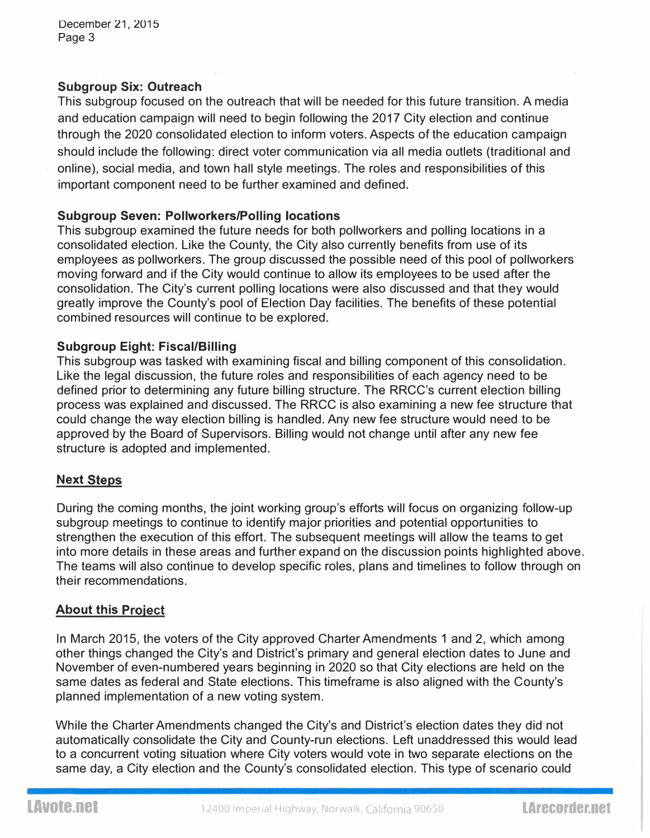## Subgroup Six: Outreach

This subgroup focused on the outreach that will be needed for this future transition. A media and education campaign will need to begin following the 2017 City election and continue through the 2020 consolidated election to inform voters. Aspects of the education campaign should include the following: direct voter communication via all media outlets (traditional and online), social media, and town hall style meetings. The roles and responsibilities of this important component need to be further examined and defined.

#### Subgroup Seven: Pollworkers/Polling locations

This subgroup examined the future needs for both pollworkers and polling locations in a consolidated election. Like the County, the City also currently benefits from use of its employees as pollworkers. The group discussed the possible need of this pool of pollworkers moving forward and if the City would continue to allow its employees to be used after the consolidation. The City's current polling locations were also discussed and that they would greatly improve the County's pool of Election Day facilities. The benefits of these potential combined resources will continue to be explored.

#### Subgroup Eight: Fiscal/Billing

This subgroup was tasked with examining fiscal and billing component of this consolidation. Like the legal discussion, the future roles and responsibilities of each agency need to be defined prior to determining any future billing structure. The RRCC's current election billing process was explained and discussed. The RRCC is also examining a new fee structure that could change the way election billing is handled. Any new fee structure would need to be approved by the Board of Supervisors. Billing would not change until after any new fee structure is adopted and implemented.

## <u>Next Steps</u>

During the coming months, the joint working group's efforts will focus on organizing follow-up subgroup meetings to continue to identify major priorities and potential opportunities to strengthen the execution of this effort. The subsequent meetings will allow the teams to get into more details in these areas and further expand on the discussion points highlighted above. The teams will also continue to develop specific roles, plans and timelines to follow through on their recommendations.

## <u>About this Project</u>

In March 2015, the voters of the City approved Charter Amendments 1 and 2, which among other things changed the City's and District's primary and general election dates to June and November of even-numbered years beginning in 2020 so that City elections are held on the same dates as federal and State elections. This timeframe is also aligned with the County's planned implementation of a new voting system.

While the Charter Amendments changed the City's and District's election dates they did not automatically consolidate the City and County-run elections. Left unaddressed this would lead to a concurrent voting situation where City voters would vote in two separate elections on the same day, a City election and the County's consolidated election. This type of scenario could